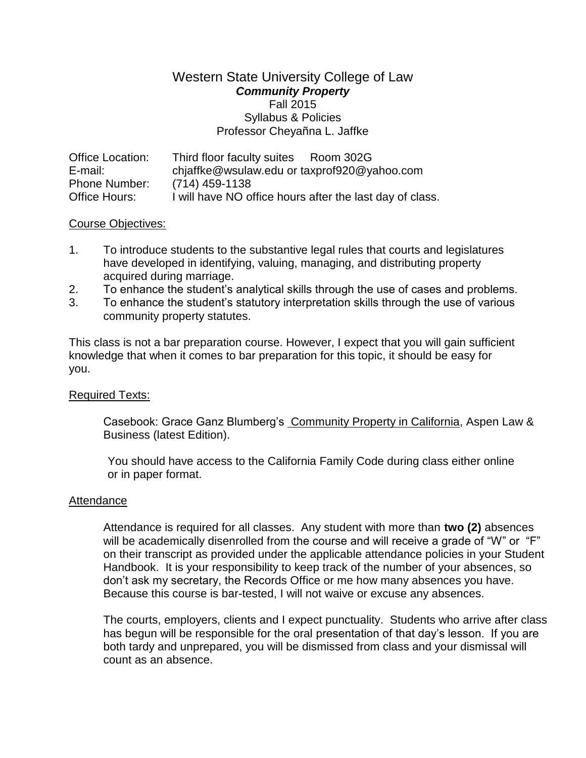## Western State University College of Law *Community Property*  Fall 2015 Syllabus & Policies Professor Cheyañna L. Jaffke

| <b>Office Location:</b> | Third floor faculty suites Room 302G                     |
|-------------------------|----------------------------------------------------------|
| E-mail:                 | chjaffke@wsulaw.edu or taxprof920@yahoo.com              |
| <b>Phone Number:</b>    | $(714)$ 459-1138                                         |
| Office Hours:           | I will have NO office hours after the last day of class. |

### Course Objectives:

- 1. To introduce students to the substantive legal rules that courts and legislatures have developed in identifying, valuing, managing, and distributing property acquired during marriage.
- 2. To enhance the student's analytical skills through the use of cases and problems.
- 3. To enhance the student's statutory interpretation skills through the use of various community property statutes.

This class is not a bar preparation course. However, I expect that you will gain sufficient knowledge that when it comes to bar preparation for this topic, it should be easy for you.

## Required Texts:

Casebook: Grace Ganz Blumberg's Community Property in California, Aspen Law & Business (latest Edition).

You should have access to the California Family Code during class either online or in paper format.

#### Attendance

Attendance is required for all classes. Any student with more than **two (2)** absences will be academically disenrolled from the course and will receive a grade of "W" or "F" on their transcript as provided under the applicable attendance policies in your Student Handbook. It is your responsibility to keep track of the number of your absences, so don't ask my secretary, the Records Office or me how many absences you have. Because this course is bar-tested, I will not waive or excuse any absences.

The courts, employers, clients and I expect punctuality. Students who arrive after class has begun will be responsible for the oral presentation of that day's lesson. If you are both tardy and unprepared, you will be dismissed from class and your dismissal will count as an absence.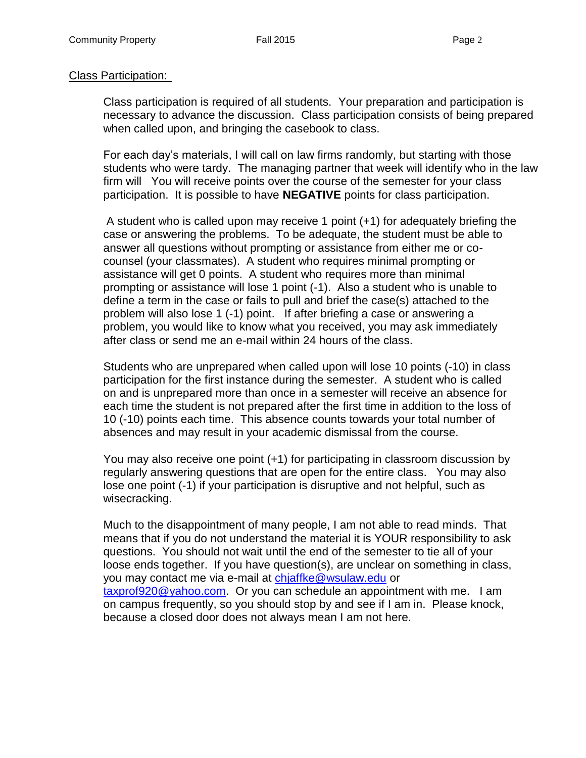### Class Participation:

Class participation is required of all students. Your preparation and participation is necessary to advance the discussion. Class participation consists of being prepared when called upon, and bringing the casebook to class.

For each day's materials, I will call on law firms randomly, but starting with those students who were tardy. The managing partner that week will identify who in the law firm will You will receive points over the course of the semester for your class participation. It is possible to have **NEGATIVE** points for class participation.

A student who is called upon may receive 1 point (+1) for adequately briefing the case or answering the problems. To be adequate, the student must be able to answer all questions without prompting or assistance from either me or cocounsel (your classmates). A student who requires minimal prompting or assistance will get 0 points. A student who requires more than minimal prompting or assistance will lose 1 point (-1). Also a student who is unable to define a term in the case or fails to pull and brief the case(s) attached to the problem will also lose 1 (-1) point. If after briefing a case or answering a problem, you would like to know what you received, you may ask immediately after class or send me an e-mail within 24 hours of the class.

Students who are unprepared when called upon will lose 10 points (-10) in class participation for the first instance during the semester. A student who is called on and is unprepared more than once in a semester will receive an absence for each time the student is not prepared after the first time in addition to the loss of 10 (-10) points each time. This absence counts towards your total number of absences and may result in your academic dismissal from the course.

You may also receive one point (+1) for participating in classroom discussion by regularly answering questions that are open for the entire class. You may also lose one point (-1) if your participation is disruptive and not helpful, such as wisecracking.

Much to the disappointment of many people, I am not able to read minds. That means that if you do not understand the material it is YOUR responsibility to ask questions. You should not wait until the end of the semester to tie all of your loose ends together. If you have question(s), are unclear on something in class, you may contact me via e-mail at [chjaffke@wsulaw.edu](mailto:chjaffke@wsulaw.edu) or [taxprof920@yahoo.com.](mailto:taxprof920@yahoo.com) Or you can schedule an appointment with me. I am on campus frequently, so you should stop by and see if I am in. Please knock, because a closed door does not always mean I am not here.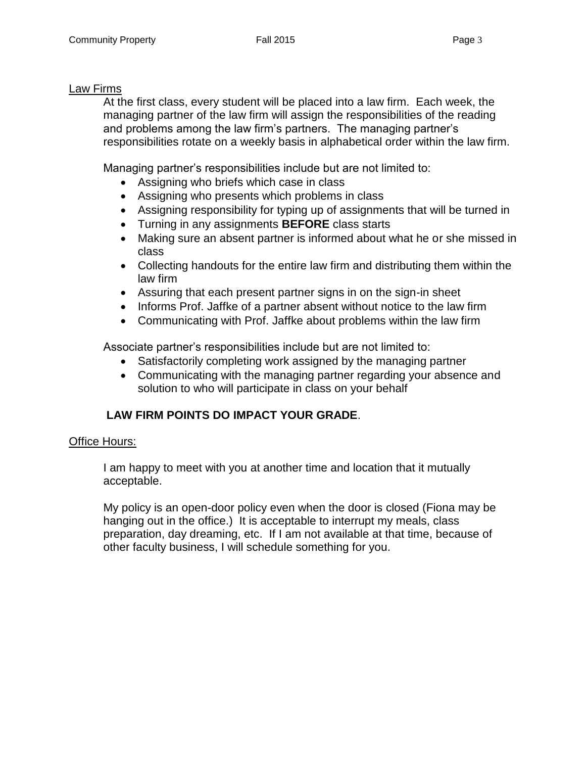### Law Firms

At the first class, every student will be placed into a law firm. Each week, the managing partner of the law firm will assign the responsibilities of the reading and problems among the law firm's partners. The managing partner's responsibilities rotate on a weekly basis in alphabetical order within the law firm.

Managing partner's responsibilities include but are not limited to:

- Assigning who briefs which case in class
- Assigning who presents which problems in class
- Assigning responsibility for typing up of assignments that will be turned in
- Turning in any assignments **BEFORE** class starts
- Making sure an absent partner is informed about what he or she missed in class
- Collecting handouts for the entire law firm and distributing them within the law firm
- Assuring that each present partner signs in on the sign-in sheet
- Informs Prof. Jaffke of a partner absent without notice to the law firm
- Communicating with Prof. Jaffke about problems within the law firm

Associate partner's responsibilities include but are not limited to:

- Satisfactorily completing work assigned by the managing partner
- Communicating with the managing partner regarding your absence and solution to who will participate in class on your behalf

# **LAW FIRM POINTS DO IMPACT YOUR GRADE**.

## Office Hours:

I am happy to meet with you at another time and location that it mutually acceptable.

My policy is an open-door policy even when the door is closed (Fiona may be hanging out in the office.) It is acceptable to interrupt my meals, class preparation, day dreaming, etc. If I am not available at that time, because of other faculty business, I will schedule something for you.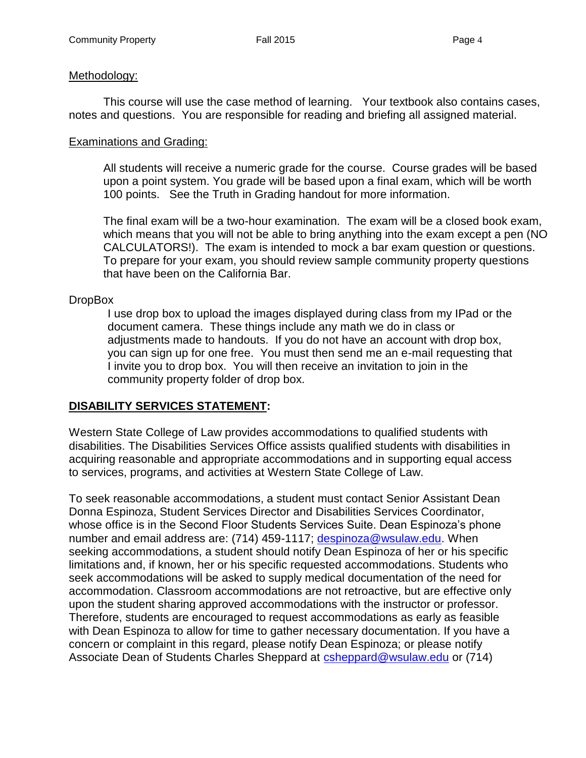## Methodology:

This course will use the case method of learning. Your textbook also contains cases, notes and questions. You are responsible for reading and briefing all assigned material.

### Examinations and Grading:

All students will receive a numeric grade for the course. Course grades will be based upon a point system. You grade will be based upon a final exam, which will be worth 100 points. See the Truth in Grading handout for more information.

The final exam will be a two-hour examination. The exam will be a closed book exam, which means that you will not be able to bring anything into the exam except a pen (NO CALCULATORS!). The exam is intended to mock a bar exam question or questions. To prepare for your exam, you should review sample community property questions that have been on the California Bar.

## DropBox

I use drop box to upload the images displayed during class from my IPad or the document camera. These things include any math we do in class or adjustments made to handouts. If you do not have an account with drop box, you can sign up for one free. You must then send me an e-mail requesting that I invite you to drop box. You will then receive an invitation to join in the community property folder of drop box.

# **DISABILITY SERVICES STATEMENT:**

Western State College of Law provides accommodations to qualified students with disabilities. The Disabilities Services Office assists qualified students with disabilities in acquiring reasonable and appropriate accommodations and in supporting equal access to services, programs, and activities at Western State College of Law.

To seek reasonable accommodations, a student must contact Senior Assistant Dean Donna Espinoza, Student Services Director and Disabilities Services Coordinator, whose office is in the Second Floor Students Services Suite. Dean Espinoza's phone number and email address are: (714) 459-1117; [despinoza@wsulaw.edu.](mailto:despinoza@wsulaw.edu) When seeking accommodations, a student should notify Dean Espinoza of her or his specific limitations and, if known, her or his specific requested accommodations. Students who seek accommodations will be asked to supply medical documentation of the need for accommodation. Classroom accommodations are not retroactive, but are effective only upon the student sharing approved accommodations with the instructor or professor. Therefore, students are encouraged to request accommodations as early as feasible with Dean Espinoza to allow for time to gather necessary documentation. If you have a concern or complaint in this regard, please notify Dean Espinoza; or please notify Associate Dean of Students Charles Sheppard at [csheppard@wsulaw.edu](mailto:csheppard@wsulaw.edu) or (714)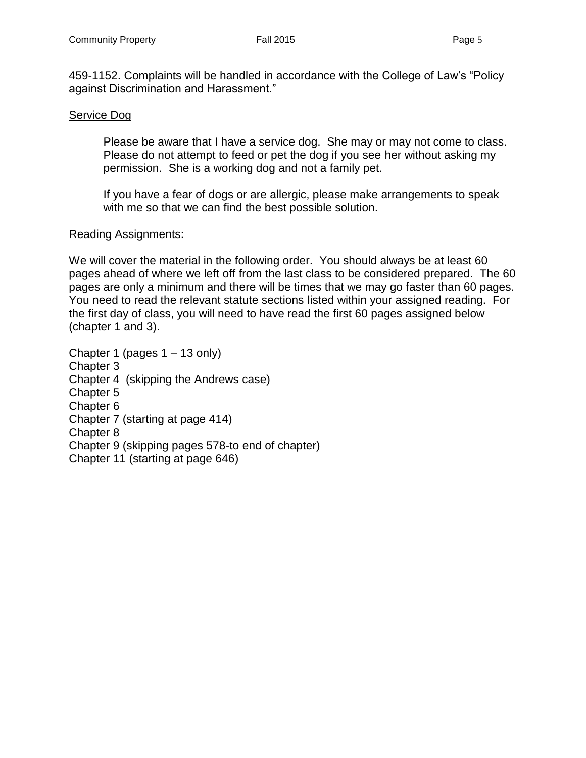459-1152. Complaints will be handled in accordance with the College of Law's "Policy against Discrimination and Harassment."

#### Service Dog

Please be aware that I have a service dog. She may or may not come to class. Please do not attempt to feed or pet the dog if you see her without asking my permission. She is a working dog and not a family pet.

If you have a fear of dogs or are allergic, please make arrangements to speak with me so that we can find the best possible solution.

#### Reading Assignments:

We will cover the material in the following order. You should always be at least 60 pages ahead of where we left off from the last class to be considered prepared. The 60 pages are only a minimum and there will be times that we may go faster than 60 pages. You need to read the relevant statute sections listed within your assigned reading. For the first day of class, you will need to have read the first 60 pages assigned below (chapter 1 and 3).

Chapter 1 (pages 1 – 13 only) Chapter 3 Chapter 4 (skipping the Andrews case) Chapter 5 Chapter 6 Chapter 7 (starting at page 414) Chapter 8 Chapter 9 (skipping pages 578-to end of chapter) Chapter 11 (starting at page 646)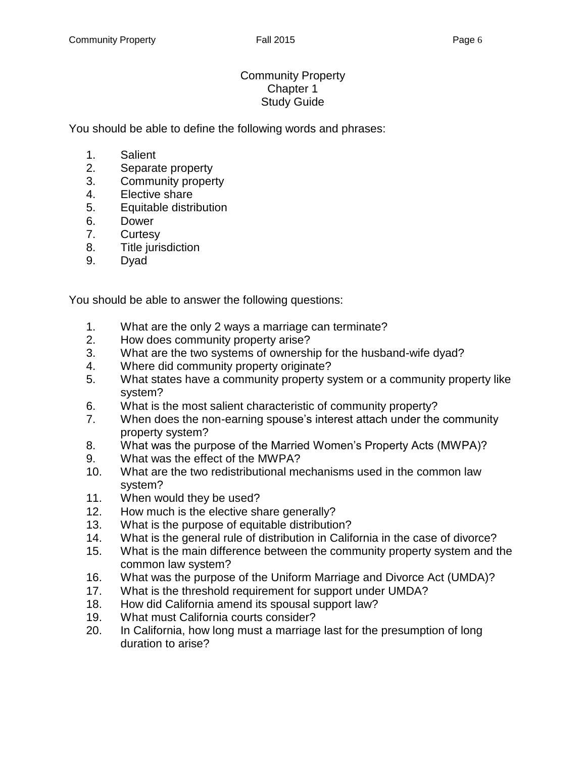# Community Property Chapter 1 Study Guide

You should be able to define the following words and phrases:

- 1. Salient
- 2. Separate property
- 3. Community property
- 4. Elective share
- 5. Equitable distribution
- 6. Dower
- 7. Curtesy
- 8. Title jurisdiction
- 9. Dyad

You should be able to answer the following questions:

- 1. What are the only 2 ways a marriage can terminate?
- 2. How does community property arise?
- 3. What are the two systems of ownership for the husband-wife dyad?
- 4. Where did community property originate?
- 5. What states have a community property system or a community property like system?
- 6. What is the most salient characteristic of community property?
- 7. When does the non-earning spouse's interest attach under the community property system?
- 8. What was the purpose of the Married Women's Property Acts (MWPA)?
- 9. What was the effect of the MWPA?
- 10. What are the two redistributional mechanisms used in the common law system?
- 11. When would they be used?
- 12. How much is the elective share generally?
- 13. What is the purpose of equitable distribution?
- 14. What is the general rule of distribution in California in the case of divorce?
- 15. What is the main difference between the community property system and the common law system?
- 16. What was the purpose of the Uniform Marriage and Divorce Act (UMDA)?
- 17. What is the threshold requirement for support under UMDA?
- 18. How did California amend its spousal support law?
- 19. What must California courts consider?
- 20. In California, how long must a marriage last for the presumption of long duration to arise?